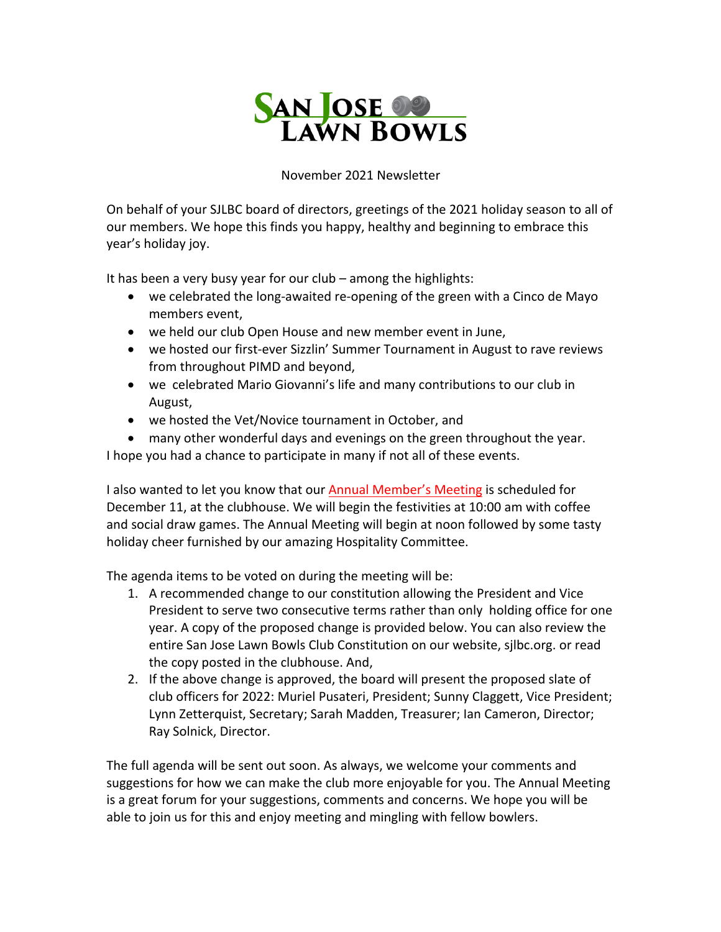

## November 2021 Newsletter

On behalf of your SJLBC board of directors, greetings of the 2021 holiday season to all of our members. We hope this finds you happy, healthy and beginning to embrace this year's holiday joy.

It has been a very busy year for our club – among the highlights:

- we celebrated the long-awaited re-opening of the green with a Cinco de Mayo members event,
- we held our club Open House and new member event in June,
- we hosted our first-ever Sizzlin' Summer Tournament in August to rave reviews from throughout PIMD and beyond,
- we celebrated Mario Giovanni's life and many contributions to our club in August,
- we hosted the Vet/Novice tournament in October, and
- many other wonderful days and evenings on the green throughout the year.

I hope you had a chance to participate in many if not all of these events.

I also wanted to let you know that our Annual Member's Meeting is scheduled for December 11, at the clubhouse. We will begin the festivities at 10:00 am with coffee and social draw games. The Annual Meeting will begin at noon followed by some tasty holiday cheer furnished by our amazing Hospitality Committee.

The agenda items to be voted on during the meeting will be:

- 1. A recommended change to our constitution allowing the President and Vice President to serve two consecutive terms rather than only holding office for one year. A copy of the proposed change is provided below. You can also review the entire San Jose Lawn Bowls Club Constitution on our website, sjlbc.org. or read the copy posted in the clubhouse. And,
- 2. If the above change is approved, the board will present the proposed slate of club officers for 2022: Muriel Pusateri, President; Sunny Claggett, Vice President; Lynn Zetterquist, Secretary; Sarah Madden, Treasurer; Ian Cameron, Director; Ray Solnick, Director.

The full agenda will be sent out soon. As always, we welcome your comments and suggestions for how we can make the club more enjoyable for you. The Annual Meeting is a great forum for your suggestions, comments and concerns. We hope you will be able to join us for this and enjoy meeting and mingling with fellow bowlers.